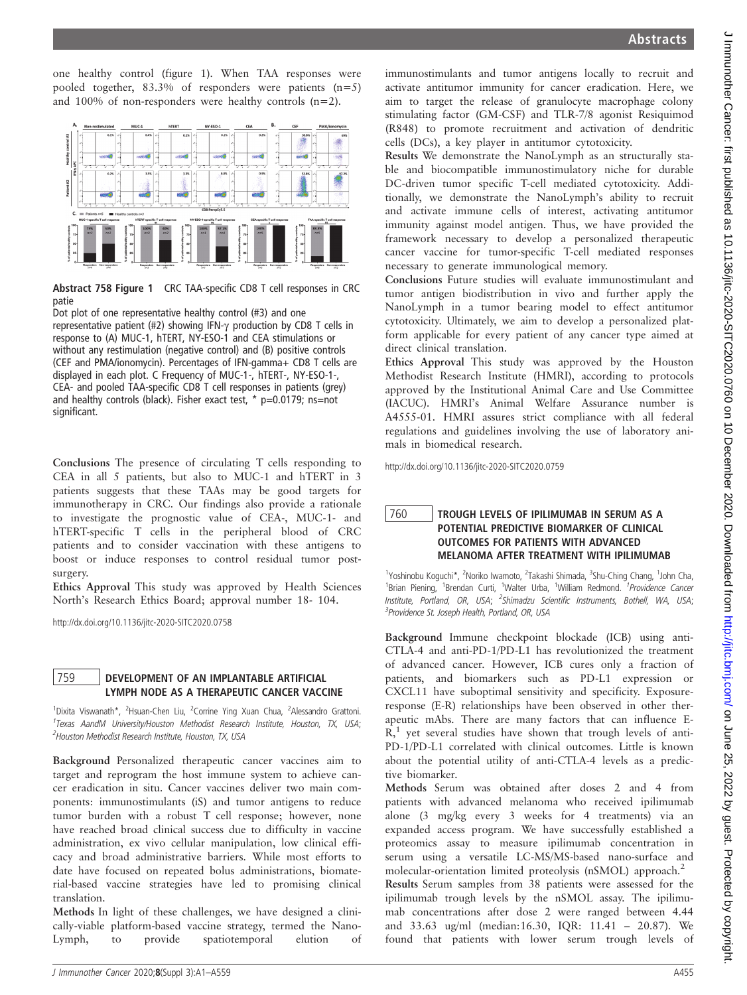$\epsilon$ 

one healthy control (figure 1). When TAA responses were pooled together, 83.3% of responders were patients (n=5) and 100% of non-responders were healthy controls (n=2).



Abstract 758 Figure 1 CRC TAA-specific CD8 T cell responses in CRC patie

Dot plot of one representative healthy control (#3) and one representative patient (#2) showing IFN- $\gamma$  production by CD8 T cells in response to (A) MUC-1, hTERT, NY-ESO-1 and CEA stimulations or without any restimulation (negative control) and (B) positive controls (CEF and PMA/ionomycin). Percentages of IFN-gamma+ CD8 T cells are displayed in each plot. C Frequency of MUC-1-, hTERT-, NY-ESO-1-, CEA- and pooled TAA-specific CD8 T cell responses in patients (grey) and healthy controls (black). Fisher exact test,  $*$  p=0.0179; ns=not significant.

Conclusions The presence of circulating T cells responding to CEA in all 5 patients, but also to MUC-1 and hTERT in 3 patients suggests that these TAAs may be good targets for immunotherapy in CRC. Our findings also provide a rationale to investigate the prognostic value of CEA-, MUC-1- and hTERT-specific T cells in the peripheral blood of CRC patients and to consider vaccination with these antigens to boost or induce responses to control residual tumor postsurgery.

Ethics Approval This study was approved by Health Sciences North's Research Ethics Board; approval number 18- 104.

http://dx.doi.org/10.1136/jitc-2020-SITC2020.0758

## 759 DEVELOPMENT OF AN IMPLANTABLE ARTIFICIAL<br>LYMPH NODE AS A THERAPEUTIC CANCER VACCINE

1<br>
<sup>1</sup>Dixita Viswanath\*, <sup>2</sup>Hsuan-Chen Liu, <sup>2</sup>Corrine Ying Xuan Chua, <sup>2</sup>Alessandro Grattoni. <sup>1</sup>Texas AandM University/Houston Methodist Research Institute, Houston, TX, USA; <sup>2</sup> Houston Methodist Research Institute, Houston, TX, USA

Background Personalized therapeutic cancer vaccines aim to target and reprogram the host immune system to achieve cancer eradication in situ. Cancer vaccines deliver two main components: immunostimulants (iS) and tumor antigens to reduce tumor burden with a robust T cell response; however, none have reached broad clinical success due to difficulty in vaccine administration, ex vivo cellular manipulation, low clinical efficacy and broad administrative barriers. While most efforts to date have focused on repeated bolus administrations, biomaterial-based vaccine strategies have led to promising clinical translation.

Methods In light of these challenges, we have designed a clinically-viable platform-based vaccine strategy, termed the Nano-Lymph, to provide spatiotemporal elution of

immunostimulants and tumor antigens locally to recruit and activate antitumor immunity for cancer eradication. Here, we aim to target the release of granulocyte macrophage colony stimulating factor (GM-CSF) and TLR-7/8 agonist Resiquimod (R848) to promote recruitment and activation of dendritic cells (DCs), a key player in antitumor cytotoxicity.

Results We demonstrate the NanoLymph as an structurally stable and biocompatible immunostimulatory niche for durable DC-driven tumor specific T-cell mediated cytotoxicity. Additionally, we demonstrate the NanoLymph's ability to recruit and activate immune cells of interest, activating antitumor immunity against model antigen. Thus, we have provided the framework necessary to develop a personalized therapeutic cancer vaccine for tumor-specific T-cell mediated responses necessary to generate immunological memory.

Conclusions Future studies will evaluate immunostimulant and tumor antigen biodistribution in vivo and further apply the NanoLymph in a tumor bearing model to effect antitumor cytotoxicity. Ultimately, we aim to develop a personalized platform applicable for every patient of any cancer type aimed at direct clinical translation.

Ethics Approval This study was approved by the Houston Methodist Research Institute (HMRI), according to protocols approved by the Institutional Animal Care and Use Committee (IACUC). HMRI's Animal Welfare Assurance number is A4555-01. HMRI assures strict compliance with all federal regulations and guidelines involving the use of laboratory animals in biomedical research.

http://dx.doi.org/10.1136/jitc-2020-SITC2020.0759

## $\frac{760}{760}$  TROUGH LEVELS OF IPILIMUMAB IN SERUM AS A OUTCOMES FOR PATIENTS WITH ADVANCED MELANOMA AFTER TREATMENT WITH IPILIMUMAB

<sup>1</sup>Yoshinobu Koguchi\*, <sup>2</sup>Noriko Iwamoto, <sup>2</sup>Takashi Shimada, <sup>3</sup>Shu-Ching Chang, <sup>1</sup>John Cha, <sup>1</sup>Brian Piening, <sup>1</sup>Brendan Curti, <sup>1</sup>Walter Urba, <sup>1</sup>William Redmond. <sup>1</sup>Providence Cancer Institute, Portland, OR, USA; <sup>2</sup>Shimadzu Scientific Instruments, Bothell, WA, USA; <sup>3</sup> Providence St. Joseph Health, Portland, OR, USA

Background Immune checkpoint blockade (ICB) using anti-CTLA-4 and anti-PD-1/PD-L1 has revolutionized the treatment of advanced cancer. However, ICB cures only a fraction of patients, and biomarkers such as PD-L1 expression or CXCL11 have suboptimal sensitivity and specificity. Exposureresponse (E-R) relationships have been observed in other therapeutic mAbs. There are many factors that can influence E- $R<sub>1</sub><sup>1</sup>$  yet several studies have shown that trough levels of anti-PD-1/PD-L1 correlated with clinical outcomes. Little is known about the potential utility of anti-CTLA-4 levels as a predictive biomarker.

Methods Serum was obtained after doses 2 and 4 from patients with advanced melanoma who received ipilimumab alone (3 mg/kg every 3 weeks for 4 treatments) via an expanded access program. We have successfully established a proteomics assay to measure ipilimumab concentration in serum using a versatile LC-MS/MS-based nano-surface and molecular-orientation limited proteolysis (nSMOL) approach.<sup>2</sup>

Results Serum samples from 38 patients were assessed for the ipilimumab trough levels by the nSMOL assay. The ipilimumab concentrations after dose 2 were ranged between 4.44 and 33.63 ug/ml (median:16.30, IQR: 11.41 – 20.87). We found that patients with lower serum trough levels of